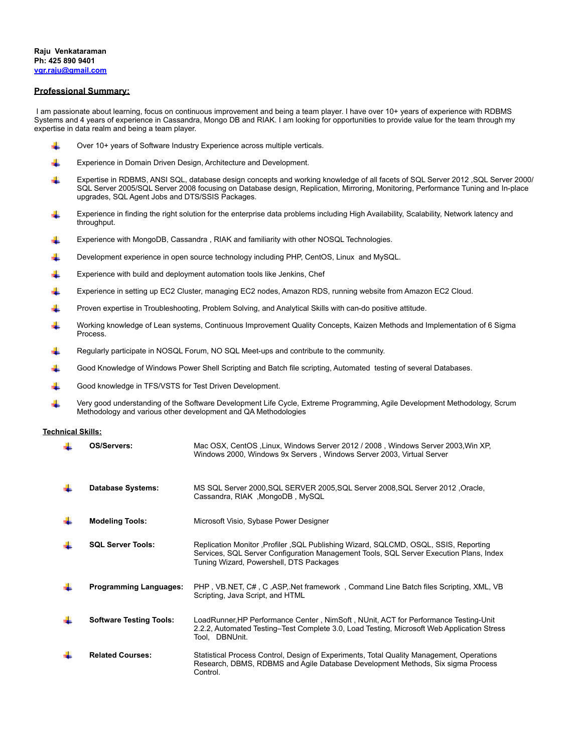### **Professional Summary:**

 I am passionate about learning, focus on continuous improvement and being a team player. I have over 10+ years of experience with RDBMS Systems and 4 years of experience in Cassandra, Mongo DB and RIAK. I am looking for opportunities to provide value for the team through my expertise in data realm and being a team player.

- Over 10+ years of Software Industry Experience across multiple verticals. ÷
- ÷ Experience in Domain Driven Design, Architecture and Development.
- Expertise in RDBMS, ANSI SQL, database design concepts and working knowledge of all facets of SQL Server 2012 ,SQL Server 2000/ ÷ SQL Server 2005/SQL Server 2008 focusing on Database design, Replication, Mirroring, Monitoring, Performance Tuning and In-place upgrades, SQL Agent Jobs and DTS/SSIS Packages.
- ÷ Experience in finding the right solution for the enterprise data problems including High Availability, Scalability, Network latency and throughput.
- Experience with MongoDB, Cassandra , RIAK and familiarity with other NOSQL Technologies. 4
- ₩ Development experience in open source technology including PHP, CentOS, Linux and MySQL.
- ÷ Experience with build and deployment automation tools like Jenkins, Chef
- 4 Experience in setting up EC2 Cluster, managing EC2 nodes, Amazon RDS, running website from Amazon EC2 Cloud.
- ₩ Proven expertise in Troubleshooting, Problem Solving, and Analytical Skills with can-do positive attitude.
- Working knowledge of Lean systems, Continuous Improvement Quality Concepts, Kaizen Methods and Implementation of 6 Sigma Process.
- Regularly participate in NOSQL Forum, NO SQL Meet-ups and contribute to the community.
- Good Knowledge of Windows Power Shell Scripting and Batch file scripting, Automated testing of several Databases.
- Good knowledge in TFS/VSTS for Test Driven Development.
- Very good understanding of the Software Development Life Cycle, Extreme Programming, Agile Development Methodology, Scrum Methodology and various other development and QA Methodologies

### **Technical Skills:**

| OS/Servers:                    | Mac OSX, CentOS, Linux, Windows Server 2012 / 2008, Windows Server 2003, Win XP,<br>Windows 2000, Windows 9x Servers, Windows Server 2003, Virtual Server                                                                  |
|--------------------------------|----------------------------------------------------------------------------------------------------------------------------------------------------------------------------------------------------------------------------|
| <b>Database Systems:</b>       | MS SQL Server 2000, SQL SERVER 2005, SQL Server 2008, SQL Server 2012, Oracle,<br>Cassandra, RIAK, MongoDB, MySQL                                                                                                          |
| <b>Modeling Tools:</b>         | Microsoft Visio, Sybase Power Designer                                                                                                                                                                                     |
| <b>SQL Server Tools:</b>       | Replication Monitor , Profiler , SQL Publishing Wizard, SQLCMD, OSQL, SSIS, Reporting<br>Services, SQL Server Configuration Management Tools, SQL Server Execution Plans, Index<br>Tuning Wizard, Powershell, DTS Packages |
| <b>Programming Languages:</b>  | PHP, VB.NET, C#, C, ASP, Net framework, Command Line Batch files Scripting, XML, VB<br>Scripting, Java Script, and HTML                                                                                                    |
| <b>Software Testing Tools:</b> | LoadRunner, HP Performance Center, NimSoft, NUnit, ACT for Performance Testing-Unit<br>2.2.2. Automated Testing–Test Complete 3.0. Load Testing, Microsoft Web Application Stress<br>Tool. DBNUnit.                        |
| <b>Related Courses:</b>        | Statistical Process Control, Design of Experiments, Total Quality Management, Operations<br>Research, DBMS, RDBMS and Agile Database Development Methods, Six sigma Process<br>Control.                                    |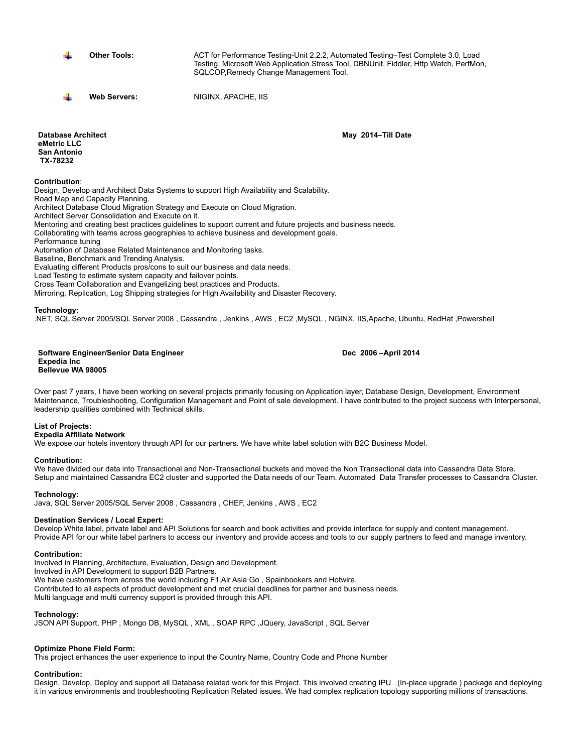**Other Tools:** ACT for Performance Testing-Unit 2.2.2, Automated Testing–Test Complete 3.0, Load Testing, Microsoft Web Application Stress Tool, DBNUnit, Fiddler, Http Watch, PerfMon, SQLCOP,Remedy Change Management Tool.

**Web Servers:** NIGINX, APACHE, IIS

**Database Architect eMetric LLC San Antonio TX-78232** 

**Contribution**:

Design, Develop and Architect Data Systems to support High Availability and Scalability. Road Map and Capacity Planning. Architect Database Cloud Migration Strategy and Execute on Cloud Migration. Architect Server Consolidation and Execute on it. Mentoring and creating best practices guidelines to support current and future projects and business needs. Collaborating with teams across geographies to achieve business and development goals. Performance tuning Automation of Database Related Maintenance and Monitoring tasks. Baseline, Benchmark and Trending Analysis. Evaluating different Products pros/cons to suit our business and data needs. Load Testing to estimate system capacity and failover points. Cross Team Collaboration and Evangelizing best practices and Products. Mirroring, Replication, Log Shipping strategies for High Availability and Disaster Recovery.

# **Technology:**

.NET, SQL Server 2005/SQL Server 2008 , Cassandra , Jenkins , AWS , EC2 ,MySQL , NGINX, IIS,Apache, Ubuntu, RedHat ,Powershell

#### **Software Engineer/Senior Data Engineer Expedia Inc Bellevue WA 98005**

Over past 7 years, I have been working on several projects primarily focusing on Application layer, Database Design, Development, Environment Maintenance, Troubleshooting, Configuration Management and Point of sale development. I have contributed to the project success with Interpersonal, leadership qualities combined with Technical skills.

# **List of Projects:**

**Expedia Affiliate Network**

We expose our hotels inventory through API for our partners. We have white label solution with B2C Business Model.

# **Contribution:**

We have divided our data into Transactional and Non-Transactional buckets and moved the Non Transactional data into Cassandra Data Store. Setup and maintained Cassandra EC2 cluster and supported the Data needs of our Team. Automated Data Transfer processes to Cassandra Cluster.

**Technology:**

Java, SQL Server 2005/SQL Server 2008 , Cassandra , CHEF, Jenkins , AWS , EC2

# **Destination Services / Local Expert:**

Develop White label, private label and API Solutions for search and book activities and provide interface for supply and content management. Provide API for our white label partners to access our inventory and provide access and tools to our supply partners to feed and manage inventory.

# **Contribution:**

Involved in Planning, Architecture, Evaluation, Design and Development. Involved in API Development to support B2B Partners. We have customers from across the world including F1,Air Asia Go , Spainbookers and Hotwire. Contributed to all aspects of product development and met crucial deadlines for partner and business needs. Multi language and multi currency support is provided through this API.

# **Technology:**

JSON API Support, PHP , Mongo DB, MySQL , XML , SOAP RPC ,JQuery, JavaScript , SQL Server

# **Optimize Phone Field Form:**

This project enhances the user experience to input the Country Name, Country Code and Phone Number

### **Contribution:**

Design, Develop, Deploy and support all Database related work for this Project. This involved creating IPU (In-place upgrade ) package and deploying it in various environments and troubleshooting Replication Related issues. We had complex replication topology supporting millions of transactions.

### **Dec 2006 –April 2014**

**May 2014–Till Date**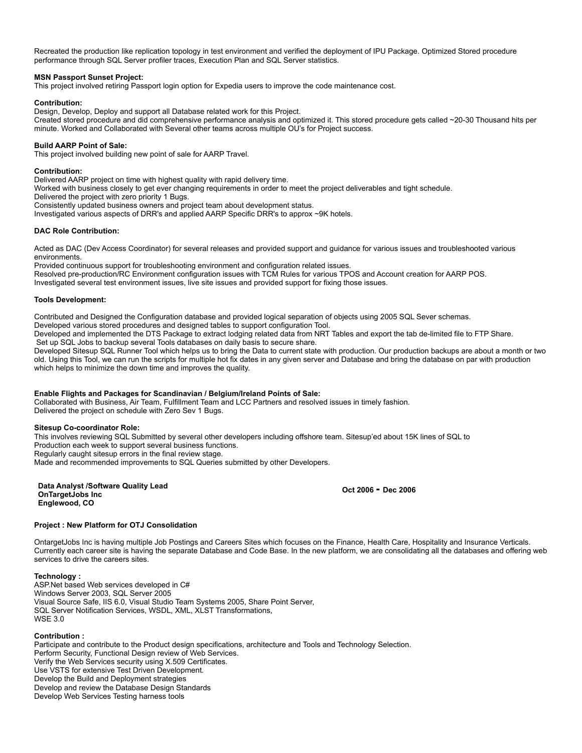Recreated the production like replication topology in test environment and verified the deployment of IPU Package. Optimized Stored procedure performance through SQL Server profiler traces, Execution Plan and SQL Server statistics.

### **MSN Passport Sunset Project:**

This project involved retiring Passport login option for Expedia users to improve the code maintenance cost.

### **Contribution:**

Design, Develop, Deploy and support all Database related work for this Project. Created stored procedure and did comprehensive performance analysis and optimized it. This stored procedure gets called ~20-30 Thousand hits per minute. Worked and Collaborated with Several other teams across multiple OU's for Project success.

### **Build AARP Point of Sale:**

This project involved building new point of sale for AARP Travel.

### **Contribution:**

Delivered AARP project on time with highest quality with rapid delivery time.

Worked with business closely to get ever changing requirements in order to meet the project deliverables and tight schedule.

Delivered the project with zero priority 1 Bugs.

Consistently updated business owners and project team about development status.

Investigated various aspects of DRR's and applied AARP Specific DRR's to approx ~9K hotels.

### **DAC Role Contribution:**

Acted as DAC (Dev Access Coordinator) for several releases and provided support and guidance for various issues and troubleshooted various environments.

Provided continuous support for troubleshooting environment and configuration related issues. Resolved pre-production/RC Environment configuration issues with TCM Rules for various TPOS and Account creation for AARP POS. Investigated several test environment issues, live site issues and provided support for fixing those issues.

### **Tools Development:**

Contributed and Designed the Configuration database and provided logical separation of objects using 2005 SQL Sever schemas.

Developed various stored procedures and designed tables to support configuration Tool.

Developed and implemented the DTS Package to extract lodging related data from NRT Tables and export the tab de-limited file to FTP Share. Set up SQL Jobs to backup several Tools databases on daily basis to secure share.

Developed Sitesup SQL Runner Tool which helps us to bring the Data to current state with production. Our production backups are about a month or two old. Using this Tool, we can run the scripts for multiple hot fix dates in any given server and Database and bring the database on par with production which helps to minimize the down time and improves the quality.

# **Enable Flights and Packages for Scandinavian / Belgium/Ireland Points of Sale:**

Collaborated with Business, Air Team, Fulfillment Team and LCC Partners and resolved issues in timely fashion. Delivered the project on schedule with Zero Sev 1 Bugs.

### **Sitesup Co-coordinator Role:**

This involves reviewing SQL Submitted by several other developers including offshore team. Sitesup'ed about 15K lines of SQL to Production each week to support several business functions. Regularly caught sitesup errors in the final review stage. Made and recommended improvements to SQL Queries submitted by other Developers.

#### **Data Analyst /Software Quality Lead OnTargetJobs Inc Englewood, CO**

**Oct 2006 - Dec 2006** 

# **Project : New Platform for OTJ Consolidation**

OntargetJobs Inc is having multiple Job Postings and Careers Sites which focuses on the Finance, Health Care, Hospitality and Insurance Verticals. Currently each career site is having the separate Database and Code Base. In the new platform, we are consolidating all the databases and offering web services to drive the careers sites.

### **Technology :**

ASP.Net based Web services developed in C# Windows Server 2003, SQL Server 2005 Visual Source Safe, IIS 6.0, Visual Studio Team Systems 2005, Share Point Server, SQL Server Notification Services, WSDL, XML, XLST Transformations, WSE 3.0

# **Contribution :**

Participate and contribute to the Product design specifications, architecture and Tools and Technology Selection. Perform Security, Functional Design review of Web Services. Verify the Web Services security using X.509 Certificates. Use VSTS for extensive Test Driven Development. Develop the Build and Deployment strategies Develop and review the Database Design Standards Develop Web Services Testing harness tools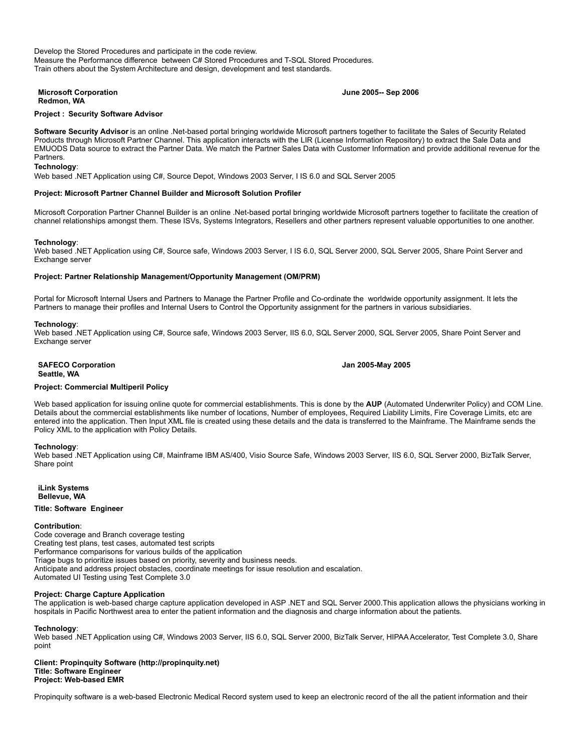Develop the Stored Procedures and participate in the code review. Measure the Performance difference between C# Stored Procedures and T-SQL Stored Procedures. Train others about the System Architecture and design, development and test standards.

#### **Microsoft Corporation Redmon, WA**

### **June 2005-- Sep 2006**

# **Project : Security Software Advisor**

**Software Security Advisor** is an online .Net-based portal bringing worldwide Microsoft partners together to facilitate the Sales of Security Related Products through Microsoft Partner Channel. This application interacts with the LIR (License Information Repository) to extract the Sale Data and EMUODS Data source to extract the Partner Data. We match the Partner Sales Data with Customer Information and provide additional revenue for the Partners.

# **Technology**:

Web based .NET Application using C#, Source Depot, Windows 2003 Server, I IS 6.0 and SQL Server 2005

#### **Project: Microsoft Partner Channel Builder and Microsoft Solution Profiler**

Microsoft Corporation Partner Channel Builder is an online .Net-based portal bringing worldwide Microsoft partners together to facilitate the creation of channel relationships amongst them. These ISVs, Systems Integrators, Resellers and other partners represent valuable opportunities to one another.

### **Technology**:

Web based .NET Application using C#, Source safe, Windows 2003 Server, I IS 6.0, SQL Server 2000, SQL Server 2005, Share Point Server and Exchange server

### **Project: Partner Relationship Management/Opportunity Management (OM/PRM)**

Portal for Microsoft Internal Users and Partners to Manage the Partner Profile and Co-ordinate the worldwide opportunity assignment. It lets the Partners to manage their profiles and Internal Users to Control the Opportunity assignment for the partners in various subsidiaries.

#### **Technology**:

Web based .NET Application using C#, Source safe, Windows 2003 Server, IIS 6.0, SQL Server 2000, SQL Server 2005, Share Point Server and Exchange server

### **SAFECO Corporation Seattle, WA**

**Jan 2005-May 2005**

# **Project: Commercial Multiperil Policy**

Web based application for issuing online quote for commercial establishments. This is done by the **AUP** (Automated Underwriter Policy) and COM Line. Details about the commercial establishments like number of locations, Number of employees, Required Liability Limits, Fire Coverage Limits, etc are entered into the application. Then Input XML file is created using these details and the data is transferred to the Mainframe. The Mainframe sends the Policy XML to the application with Policy Details.

### **Technology**:

Web based .NET Application using C#, Mainframe IBM AS/400, Visio Source Safe, Windows 2003 Server, IIS 6.0, SQL Server 2000, BizTalk Server, Share point

**iLink Systems Bellevue, WA** 

### **Title: Software Engineer**

#### **Contribution**:

Code coverage and Branch coverage testing Creating test plans, test cases, automated test scripts Performance comparisons for various builds of the application Triage bugs to prioritize issues based on priority, severity and business needs. Anticipate and address project obstacles, coordinate meetings for issue resolution and escalation. Automated UI Testing using Test Complete 3.0

### **Project: Charge Capture Application**

The application is web-based charge capture application developed in ASP .NET and SQL Server 2000.This application allows the physicians working in hospitals in Pacific Northwest area to enter the patient information and the diagnosis and charge information about the patients.

### **Technology**:

Web based .NET Application using C#, Windows 2003 Server, IIS 6.0, SQL Server 2000, BizTalk Server, HIPAA Accelerator, Test Complete 3.0, Share point

#### **Client: Propinquity Software (http://propinquity.net) Title: Software Engineer Project: Web-based EMR**

Propinquity software is a web-based Electronic Medical Record system used to keep an electronic record of the all the patient information and their